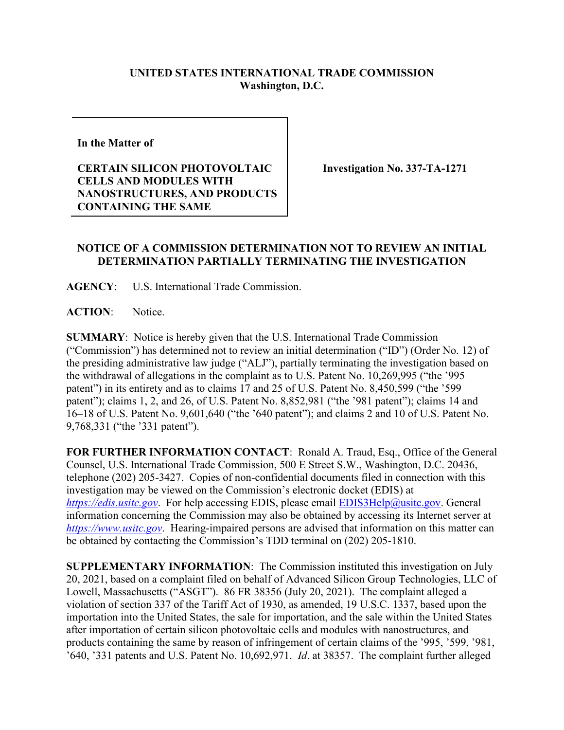## **UNITED STATES INTERNATIONAL TRADE COMMISSION Washington, D.C.**

**In the Matter of** 

**CERTAIN SILICON PHOTOVOLTAIC CELLS AND MODULES WITH NANOSTRUCTURES, AND PRODUCTS CONTAINING THE SAME**

**Investigation No. 337-TA-1271**

## **NOTICE OF A COMMISSION DETERMINATION NOT TO REVIEW AN INITIAL DETERMINATION PARTIALLY TERMINATING THE INVESTIGATION**

**AGENCY**: U.S. International Trade Commission.

ACTION: Notice.

**SUMMARY**: Notice is hereby given that the U.S. International Trade Commission ("Commission") has determined not to review an initial determination ("ID") (Order No. 12) of the presiding administrative law judge ("ALJ"), partially terminating the investigation based on the withdrawal of allegations in the complaint as to U.S. Patent No. 10,269,995 ("the '995 patent") in its entirety and as to claims 17 and 25 of U.S. Patent No. 8,450,599 ("the '599 patent"); claims 1, 2, and 26, of U.S. Patent No. 8,852,981 ("the '981 patent"); claims 14 and 16–18 of U.S. Patent No. 9,601,640 ("the '640 patent"); and claims 2 and 10 of U.S. Patent No. 9,768,331 ("the '331 patent").

**FOR FURTHER INFORMATION CONTACT**: Ronald A. Traud, Esq., Office of the General Counsel, U.S. International Trade Commission, 500 E Street S.W., Washington, D.C. 20436, telephone (202) 205-3427. Copies of non-confidential documents filed in connection with this investigation may be viewed on the Commission's electronic docket (EDIS) at *[https://edis.usitc.gov](https://edis.usitc.gov/)*. For help accessing EDIS, please email [EDIS3Help@usitc.gov.](mailto:EDIS3Help@usitc.gov) General information concerning the Commission may also be obtained by accessing its Internet server at *[https://www.usitc.gov](https://www.usitc.gov/)*. Hearing-impaired persons are advised that information on this matter can be obtained by contacting the Commission's TDD terminal on (202) 205-1810.

**SUPPLEMENTARY INFORMATION**: The Commission instituted this investigation on July 20, 2021, based on a complaint filed on behalf of Advanced Silicon Group Technologies, LLC of Lowell, Massachusetts ("ASGT"). 86 FR 38356 (July 20, 2021). The complaint alleged a violation of section 337 of the Tariff Act of 1930, as amended, 19 U.S.C. 1337, based upon the importation into the United States, the sale for importation, and the sale within the United States after importation of certain silicon photovoltaic cells and modules with nanostructures, and products containing the same by reason of infringement of certain claims of the '995, '599, '981, '640, '331 patents and U.S. Patent No. 10,692,971. *Id*. at 38357. The complaint further alleged